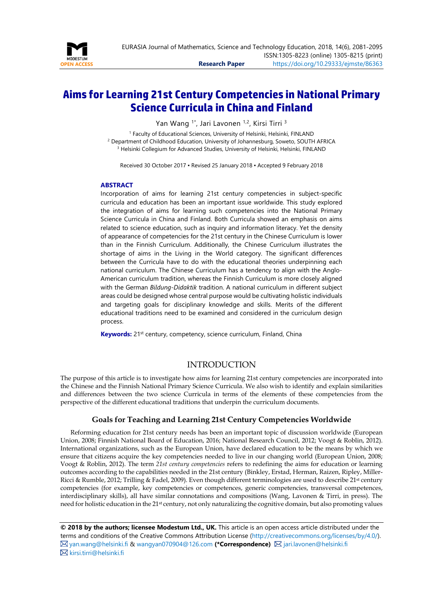

# **Aims for Learning 21st Century Competencies in National Primary Science Curricula in China and Finland**

Yan Wang <sup>1\*</sup>, Jari Lavonen <sup>1,2</sup>, Kirsi Tirri <sup>3</sup>

<sup>1</sup> Faculty of Educational Sciences, University of Helsinki, Helsinki, FINLAND <sup>2</sup> Department of Childhood Education, University of Johannesburg, Soweto, SOUTH AFRICA <sup>3</sup> Helsinki Collegium for Advanced Studies, University of Helsinki, Helsinki, FINLAND

Received 30 October 2017 ▪ Revised 25 January 2018 ▪ Accepted 9 February 2018

#### <span id="page-0-0"></span>**ABSTRACT**

Incorporation of aims for learning 21st century competencies in subject-specific curricula and education has been an important issue worldwide. This study explored the integration of aims for learning such competencies into the National Primary Science Curricula in China and Finland. Both Curricula showed an emphasis on aims related to science education, such as inquiry and information literacy. Yet the density of appearance of competencies for the 21st century in the Chinese Curriculum is lower than in the Finnish Curriculum. Additionally, the Chinese Curriculum illustrates the shortage of aims in the Living in the World category. The significant differences between the Curricula have to do with the educational theories underpinning each national curriculum. The Chinese Curriculum has a tendency to align with the Anglo-American curriculum tradition, whereas the Finnish Curriculum is more closely aligned with the German *Bildung-Didaktik* tradition. A national curriculum in different subject areas could be designed whose central purpose would be cultivating holistic individuals and targeting goals for disciplinary knowledge and skills. Merits of the different educational traditions need to be examined and considered in the curriculum design process.

**Keywords:** 21<sup>st</sup> century, competency, science curriculum, Finland, China

#### INTRODUCTION

The purpose of this article is to investigate how aims for learning 21st century competencies are incorporated into the Chinese and the Finnish National Primary Science Curricula. We also wish to identify and explain similarities and differences between the two science Curricula in terms of the elements of these competencies from the perspective of the different educational traditions that underpin the curriculum documents.

### **Goals for Teaching and Learning 21st Century Competencies Worldwide**

Reforming education for 21st century needs has been an important topic of discussion worldwide (European Union, 2008; Finnish National Board of Education, 2016; National Research Council, 2012; Voogt & Roblin, 2012). International organizations, such as the European Union, have declared education to be the means by which we ensure that citizens acquire the key competencies needed to live in our changing world (European Union, 2008; Voogt & Roblin, 2012). The term *21st century competencies* refers to redefining the aims for education or learning outcomes according to the capabilities needed in the 21st century (Binkley, Erstad, Herman, Raizen, Ripley, Miller-Ricci & Rumble, 2012; Trilling & Fadel, 2009). Even though different terminologies are used to describe 21st century competencies (for example, key competencies or competences, generic competencies, transversal competences, interdisciplinary skills), all have similar connotations and compositions (Wang, Lavonen & Tirri, in press). The need for holistic education in the 21st century, not only naturalizing the cognitive domain, but also promoting values

**© 2018 by the authors; licensee Modestum Ltd., UK.** This article is an open access article distributed under the terms and conditions of the Creative Commons Attribution License [\(http://creativecommons.org/licenses/by/4.0/\)](http://creativecommons.org/licenses/by/4.0/). [yan.wang@helsinki.fi](mailto:yan.wang@helsinki.fi) [& wangyan070904@126.com](mailto:wangyan070904@126.com) **(\*Correspondence)** [jari.lavonen@helsinki.fi](mailto:jari.lavonen@helsinki.fi)  $\boxtimes$  [kirsi.tirri@helsinki.fi](mailto:kirsi.tirri@helsinki.fi)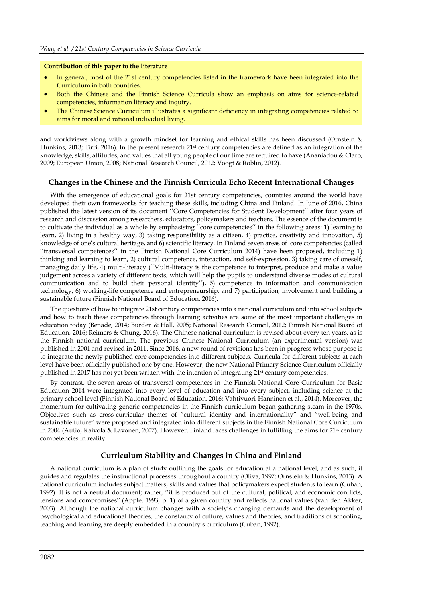#### **Contribution of this paper to the literature**

- In general, most of the 21st century competencies listed in the framework have been integrated into the Curriculum in both countries.
- Both the Chinese and the Finnish Science Curricula show an emphasis on aims for science-related competencies, information literacy and inquiry.
- The Chinese Science Curriculum illustrates a significant deficiency in integrating competencies related to aims for moral and rational individual living.

and worldviews along with a growth mindset for learning and ethical skills has been discussed (Ornstein & Hunkins, 2013; Tirri, 2016). In the present research 21<sup>st</sup> century competencies are defined as an integration of the knowledge, skills, attitudes, and values that all young people of our time are required to have (Ananiadou & Claro, 2009; European Union, 2008; National Research Council, 2012; Voogt & Roblin, 2012).

#### **Changes in the Chinese and the Finnish Curricula Echo Recent International Changes**

With the emergence of educational goals for 21st century competencies, countries around the world have developed their own frameworks for teaching these skills, including China and Finland. In June of 2016, China published the latest version of its document ''Core Competencies for Student Development'' after four years of research and discussion among researchers, educators, policymakers and teachers. The essence of the document is to cultivate the individual as a whole by emphasising ''core competencies'' in the following areas: 1) learning to learn, 2) living in a healthy way, 3) taking responsibility as a citizen, 4) practice, creativity and innovation, 5) knowledge of one's cultural heritage, and 6) scientific literacy. In Finland seven areas of core competencies (called ''transversal competences'' in the Finnish National Core Curriculum 2014) have been proposed, including 1) thinking and learning to learn, 2) cultural competence, interaction, and self-expression, 3) taking care of oneself, managing daily life, 4) multi-literacy (''Multi-literacy is the competence to interpret, produce and make a value judgement across a variety of different texts, which will help the pupils to understand diverse modes of cultural communication and to build their personal identity''), 5) competence in information and communication technology, 6) working-life competence and entrepreneurship, and 7) participation, involvement and building a sustainable future (Finnish National Board of Education, 2016).

The questions of how to integrate 21st century competencies into a national curriculum and into school subjects and how to teach these competencies through learning activities are some of the most important challenges in education today (Benade, 2014; Burden & Hall, 2005; National Research Council, 2012; Finnish National Board of Education, 2016; Reimers & Chung, 2016). The Chinese national curriculum is revised about every ten years, as is the Finnish national curriculum. The previous Chinese National Curriculum (an experimental version) was published in 2001 and revised in 2011. Since 2016, a new round of revisions has been in progress whose purpose is to integrate the newly published core competencies into different subjects. Curricula for different subjects at each level have been officially published one by one. However, the new National Primary Science Curriculum officially published in 2017 has not yet been written with the intention of integrating 21st century competencies.

By contrast, the seven areas of transversal competences in the Finnish National Core Curriculum for Basic Education 2014 were integrated into every level of education and into every subject, including science at the primary school level (Finnish National Board of Education, 2016; Vahtivuori-Hänninen et al., 2014). Moreover, the momentum for cultivating generic competencies in the Finnish curriculum began gathering steam in the 1970s. Objectives such as cross-curricular themes of "cultural identity and internationality" and "well-being and sustainable future" were proposed and integrated into different subjects in the Finnish National Core Curriculum in 2004 (Autio, Kaivola & Lavonen, 2007). However, Finland faces challenges in fulfilling the aims for 21<sup>st</sup> century competencies in reality.

#### **Curriculum Stability and Changes in China and Finland**

A national curriculum is a plan of study outlining the goals for education at a national level, and as such, it guides and regulates the instructional processes throughout a country (Oliva, 1997; Ornstein & Hunkins, 2013). A national curriculum includes subject matters, skills and values that policymakers expect students to learn (Cuban, 1992). It is not a neutral document; rather, ''it is produced out of the cultural, political, and economic conflicts, tensions and compromises'' (Apple, 1993, p. 1) of a given country and reflects national values (van den Akker, 2003). Although the national curriculum changes with a society's changing demands and the development of psychological and educational theories, the constancy of culture, values and theories, and traditions of schooling, teaching and learning are deeply embedded in a country's curriculum (Cuban, 1992).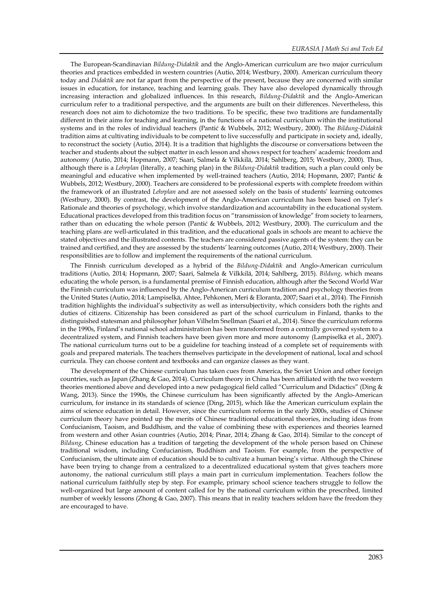The European-Scandinavian *Bildung-Didaktik* and the Anglo-American curriculum are two major curriculum theories and practices embedded in western countries (Autio, 2014; Westbury, 2000). American curriculum theory today and *Didaktik* are not far apart from the perspective of the present, because they are concerned with similar issues in education, for instance, teaching and learning goals. They have also developed dynamically through increasing interaction and globalized influences. In this research, *Bildung-Didaktik* and the Anglo-American curriculum refer to a traditional perspective, and the arguments are built on their differences. Nevertheless, this research does not aim to dichotomize the two traditions. To be specific, these two traditions are fundamentally different in their aims for teaching and learning, in the functions of a national curriculum within the institutional systems and in the roles of individual teachers (Pantić & Wubbels, 2012; Westbury, 2000). The *Bildung-Didaktik* tradition aims at cultivating individuals to be competent to live successfully and participate in society and, ideally, to reconstruct the society (Autio, 2014). It is a tradition that highlights the discourse or conversations between the teacher and students about the subject matter in each lesson and shows respect for teachers' academic freedom and autonomy (Autio, 2014; Hopmann, 2007; Saari, Salmela & Vilkkilä, 2014; Sahlberg, 2015; Westbury, 2000). Thus, although there is a *Lehrplan* (literally, a teaching plan) in the *Bildung-Didaktik* tradition, such a plan could only be meaningful and educative when implemented by well-trained teachers (Autio, 2014; Hopmann, 2007; Pantić & Wubbels, 2012; Westbury, 2000). Teachers are considered to be professional experts with complete freedom within the framework of an illustrated *Lehrplan* and are not assessed solely on the basis of students' learning outcomes (Westbury, 2000). By contrast, the development of the Anglo-American curriculum has been based on Tyler's Rationale and theories of psychology, which involve standardization and accountability in the educational system. Educational practices developed from this tradition focus on "transmission of knowledge" from society to learners, rather than on educating the whole person (Pantić & Wubbels, 2012; Westbury, 2000). The curriculum and the teaching plans are well-articulated in this tradition, and the educational goals in schools are meant to achieve the stated objectives and the illustrated contents. The teachers are considered passive agents of the system: they can be trained and certified, and they are assessed by the students' learning outcomes (Autio, 2014; Westbury, 2000). Their responsibilities are to follow and implement the requirements of the national curriculum.

The Finnish curriculum developed as a hybrid of the *Bildung-Didaktik* and Anglo-American curriculum traditions (Autio, 2014; Hopmann, 2007; Saari, Salmela & Vilkkilä, 2014; Sahlberg, 2015). *Bildung*, which means educating the whole person, is a fundamental premise of Finnish education, although after the Second World War the Finnish curriculum was influenced by the Anglo-American curriculum tradition and psychology theories from the United States (Autio, 2014; Lampiselkä, Ahtee, Pehkonen, Meri & Eloranta, 2007; Saari et al., 2014). The Finnish tradition highlights the individual's subjectivity as well as intersubjectivity, which considers both the rights and duties of citizens. Citizenship has been considered as part of the school curriculum in Finland, thanks to the distinguished statesman and philosopher Johan Vilhelm Snellman (Saari et al., 2014). Since the curriculum reforms in the 1990s, Finland's national school administration has been transformed from a centrally governed system to a decentralized system, and Finnish teachers have been given more and more autonomy (Lampiselkä et al., 2007). The national curriculum turns out to be a guideline for teaching instead of a complete set of requirements with goals and prepared materials. The teachers themselves participate in the development of national, local and school curricula. They can choose content and textbooks and can organize classes as they want.

The development of the Chinese curriculum has taken cues from America, the Soviet Union and other foreign countries, such as Japan (Zhang & Gao, 2014). Curriculum theory in China has been affiliated with the two western theories mentioned above and developed into a new pedagogical field called "Curriculum and Didactics" (Ding & Wang, 2013). Since the 1990s, the Chinese curriculum has been significantly affected by the Anglo-American curriculum, for instance in its standards of science (Ding, 2015), which like the American curriculum explain the aims of science education in detail. However, since the curriculum reforms in the early 2000s, studies of Chinese curriculum theory have pointed up the merits of Chinese traditional educational theories, including ideas from Confucianism, Taoism, and Buddhism, and the value of combining these with experiences and theories learned from western and other Asian countries (Autio, 2014; Pinar, 2014; Zhang & Gao, 2014). Similar to the concept of *Bildung*, Chinese education has a tradition of targeting the development of the whole person based on Chinese traditional wisdom, including Confucianism, Buddhism and Taoism. For example, from the perspective of Confucianism, the ultimate aim of education should be to cultivate a human being's virtue. Although the Chinese have been trying to change from a centralized to a decentralized educational system that gives teachers more autonomy, the national curriculum still plays a main part in curriculum implementation. Teachers follow the national curriculum faithfully step by step. For example, primary school science teachers struggle to follow the well-organized but large amount of content called for by the national curriculum within the prescribed, limited number of weekly lessons (Zhong & Gao, 2007). This means that in reality teachers seldom have the freedom they are encouraged to have.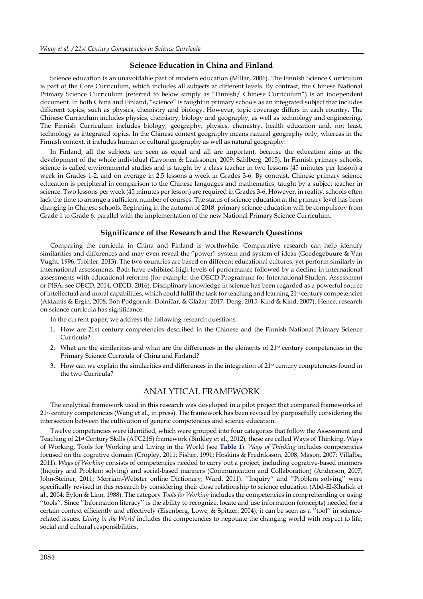#### **Science Education in China and Finland**

Science education is an unavoidable part of modern education (Millar, 2006). The Finnish Science Curriculum is part of the Core Curriculum, which includes all subjects at different levels. By contrast, the Chinese National Primary Science Curriculum (referred to below simply as "Finnish/ Chinese Curriculum") is an independent document. In both China and Finland, "science" is taught in primary schools as an integrated subject that includes different topics, such as physics, chemistry and biology. However, topic coverage differs in each country. The Chinese Curriculum includes physics, chemistry, biology and geography, as well as technology and engineering. The Finnish Curriculum includes biology, geography, physics, chemistry, health education and, not least, technology as integrated topics. In the Chinese context geography means natural geography only, whereas in the Finnish context, it includes human or cultural geography as well as natural geography.

In Finland, all the subjects are seen as equal and all are important, because the education aims at the development of the whole individual (Lavonen & Laaksonen, 2009; Sahlberg, 2015). In Finnish primary schools, science is called environmental studies and is taught by a class teacher in two lessons (45 minutes per lesson) a week in Grades 1-2, and on average in 2.5 lessons a week in Grades 3-6. By contrast, Chinese primary science education is peripheral in comparison to the Chinese languages and mathematics, taught by a subject teacher in science. Two lessons per week (45 minutes per lesson) are required in Grades 3-6. However, in reality, schools often lack the time to arrange a sufficient number of courses. The status of science education at the primary level has been changing in Chinese schools. Beginning in the autumn of 2018, primary science education will be compulsory from Grade 1 to Grade 6, parallel with the implementation of the new National Primary Science Curriculum.

#### **Significance of the Research and the Research Questions**

Comparing the curricula in China and Finland is worthwhile. Comparative research can help identify similarities and differences and may even reveal the "power" system and system of ideas (Goedegebuure & Van Vught, 1996; Tröhler, 2013). The two countries are based on different educational cultures, yet perform similarly in international assessments. Both have exhibited high levels of performance followed by a decline in international assessments with educational reforms (for example, the OECD Programme for International Student Assessment or PISA; see OECD, 2014; OECD, 2016). Disciplinary knowledge in science has been regarded as a powerful source of intellectual and moral capabilities, which could fulfil the task for teaching and learning 21<sup>st</sup> century competencies (Aktamis & Ergin, 2008; Boh Podgornik, Dolničar, & Glažar, 2017; Deng, 2015; Kind & Kind, 2007). Hence, research on science curricula has significance.

In the current paper, we address the following research questions:

- 1. How are 21st century competencies described in the Chinese and the Finnish National Primary Science Curricula?
- 2. What are the similarities and what are the differences in the elements of  $21<sup>st</sup>$  century competencies in the Primary Science Curricula of China and Finland?
- 3. How can we explain the similarities and differences in the integration of 21st century competencies found in the two Curricula?

#### ANALYTICAL FRAMEWORK

The analytical framework used in this research was developed in a pilot project that compared frameworks of 21<sup>st</sup> century competencies (Wang et al., in press). The framework has been revised by purposefully considering the intersection between the cultivation of generic competencies and science education.

Twelve competencies were identified, which were grouped into four categories that follow the Assessment and Teaching of 21st Century Skills (ATC21S) framework (Binkley et al., 2012); these are called Ways of Thinking, Ways of Working, Tools for Working and Living in the World (see **Table 1**). *Ways of Thinking* includes competencies focused on the cognitive domain (Cropley, 2011; Fisher, 1991; Hoskins & Fredriksson, 2008; Mason, 2007; Villalba, 2011). *Ways of Working* consists of competencies needed to carry out a project, including cognitive-based manners (Inquiry and Problem solving) and social-based manners (Communication and Collaboration) (Anderson, 2007; John-Steiner, 2011; Merriam-Webster online Dictionary; Ward, 2011). ''Inquiry'' and ''Problem solving'' were specifically revised in this research by considering their close relationship to science education (Abd-El-Khalick et al., 2004; Eylon & Linn, 1988). The category *Tools for Working* includes the competencies in comprehending or using ''tools''. Since ''Information literacy'' is the ability to recognize, locate and use information (concepts) needed for a certain context efficiently and effectively (Eisenberg, Lowe, & Spitzer, 2004), it can be seen as a ''tool'' in sciencerelated issues. *Living in the World* includes the competencies to negotiate the changing world with respect to life, social and cultural responsibilities.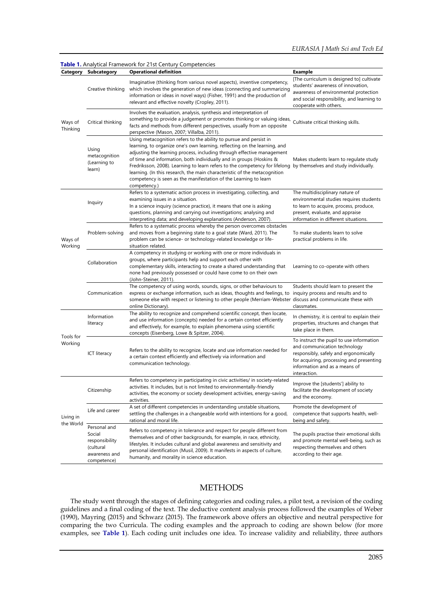| Category               | Subcategory                                                                           | Table 1. Analytical Framework for 21st Century Competencies<br><b>Operational definition</b>                                                                                                                                                                                                                                                                                                                                                                                                                                                                                           | <b>Example</b>                                                                                                                                                                                                 |
|------------------------|---------------------------------------------------------------------------------------|----------------------------------------------------------------------------------------------------------------------------------------------------------------------------------------------------------------------------------------------------------------------------------------------------------------------------------------------------------------------------------------------------------------------------------------------------------------------------------------------------------------------------------------------------------------------------------------|----------------------------------------------------------------------------------------------------------------------------------------------------------------------------------------------------------------|
| Ways of<br>Thinking    | Creative thinking                                                                     | Imaginative (thinking from various novel aspects), inventive competency,<br>which involves the generation of new ideas (connecting and summarizing<br>information or ideas in novel ways) (Fisher, 1991) and the production of<br>relevant and effective novelty (Cropley, 2011).                                                                                                                                                                                                                                                                                                      | [The curriculum is designed to] cultivate<br>students' awareness of innovation,<br>awareness of environmental protection<br>and social responsibility, and learning to<br>cooperate with others.               |
|                        | Critical thinking                                                                     | Involves the evaluation, analysis, synthesis and interpretation of<br>something to provide a judgement or promotes thinking or valuing ideas,<br>facts and methods from different perspectives, usually from an opposite<br>perspective (Mason, 2007; Villalba, 2011).                                                                                                                                                                                                                                                                                                                 | Cultivate critical thinking skills.                                                                                                                                                                            |
|                        | Using<br>metacognition<br>(Learning to<br>learn)                                      | Using metacognition refers to the ability to pursue and persist in<br>learning, to organize one's own learning, reflecting on the learning, and<br>adjusting the learning process, including through effective management<br>of time and information, both individually and in groups (Hoskins &<br>Fredriksson, 2008). Learning to learn refers to the competency for lifelong by themselves and study individually.<br>learning. (In this research, the main characteristic of the metacognition<br>competency is seen as the manifestation of the Learning to learn<br>competency.) | Makes students learn to regulate study                                                                                                                                                                         |
| Ways of<br>Working     | Inquiry                                                                               | Refers to a systematic action process in investigating, collecting, and<br>examining issues in a situation.<br>In a science inquiry (science practice), it means that one is asking<br>questions, planning and carrying out investigations; analysing and<br>interpreting data; and developing explanations (Anderson, 2007).                                                                                                                                                                                                                                                          | The multidisciplinary nature of<br>environmental studies requires students<br>to learn to acquire, process, produce,<br>present, evaluate, and appraise<br>information in different situations.                |
|                        | Problem-solving                                                                       | Refers to a systematic process whereby the person overcomes obstacles<br>and moves from a beginning state to a goal state (Ward, 2011). The<br>problem can be science- or technology-related knowledge or life-<br>situation related.                                                                                                                                                                                                                                                                                                                                                  | To make students learn to solve<br>practical problems in life.                                                                                                                                                 |
|                        | Collaboration                                                                         | A competency in studying or working with one or more individuals in<br>groups, where participants help and support each other with<br>complementary skills, interacting to create a shared understanding that<br>none had previously possessed or could have come to on their own<br>(John-Steiner, 2011).                                                                                                                                                                                                                                                                             | Learning to co-operate with others                                                                                                                                                                             |
|                        | Communication                                                                         | The competency of using words, sounds, signs, or other behaviours to<br>express or exchange information, such as ideas, thoughts and feelings, to<br>someone else with respect or listening to other people (Merriam-Webster discuss and communicate these with<br>online Dictionary).                                                                                                                                                                                                                                                                                                 | Students should learn to present the<br>inquiry process and results and to<br>classmates.                                                                                                                      |
| Tools for<br>Working   | Information<br>literacy                                                               | The ability to recognize and comprehend scientific concept, then locate,<br>and use information (concepts) needed for a certain context efficiently<br>and effectively, for example, to explain phenomena using scientific<br>concepts (Eisenberg, Lowe & Spitzer, 2004).                                                                                                                                                                                                                                                                                                              | In chemistry, it is central to explain their<br>properties, structures and changes that<br>take place in them.                                                                                                 |
|                        | ICT literacy                                                                          | Refers to the ability to recognize, locate and use information needed for<br>a certain context efficiently and effectively via information and<br>communication technology.                                                                                                                                                                                                                                                                                                                                                                                                            | To instruct the pupil to use information<br>and communication technology<br>responsibly, safely and ergonomically<br>for acquiring, processing and presenting<br>information and as a means of<br>interaction. |
| Living in<br>the World | Citizenship                                                                           | Refers to competency in participating in civic activities/ in society-related<br>activities. It includes, but is not limited to environmentally-friendly<br>activities, the economy or society development activities, energy-saving<br>activities.                                                                                                                                                                                                                                                                                                                                    | Improve the [students'] ability to<br>facilitate the development of society<br>and the economy.                                                                                                                |
|                        | Life and career                                                                       | A set of different competencies in understanding unstable situations,<br>settling the challenges in a changeable world with intentions for a good,<br>rational and moral life.                                                                                                                                                                                                                                                                                                                                                                                                         | Promote the development of<br>competence that supports health, well-<br>being and safety.                                                                                                                      |
|                        | Personal and<br>Social<br>responsibility<br>(cultural<br>awareness and<br>competence) | Refers to competency in tolerance and respect for people different from<br>themselves and of other backgrounds, for example, in race, ethnicity,<br>lifestyles. It includes cultural and global awareness and sensitivity and<br>personal identification (Musil, 2009). It manifests in aspects of culture,<br>humanity, and morality in science education.                                                                                                                                                                                                                            | The pupils practise their emotional skills<br>and promote mental well-being, such as<br>respecting themselves and others<br>according to their age.                                                            |

## **METHODS**

The study went through the stages of defining categories and coding rules, a pilot test, a revision of the coding guidelines and a final coding of the text. The deductive content analysis process followed the examples of Weber (1990), Mayring (2015) and Schwarz (2015). The framework above offers an objective and neutral perspective for comparing the two Curricula. The coding examples and the approach to coding are shown below (for more examples, see **Table 1**). Each coding unit includes one idea. To increase validity and reliability, three authors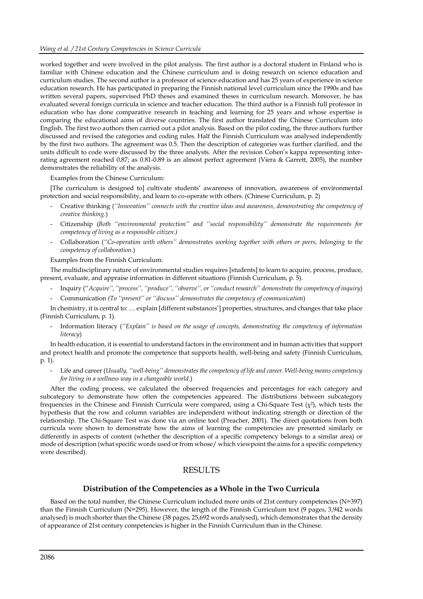worked together and were involved in the pilot analysis. The first author is a doctoral student in Finland who is familiar with Chinese education and the Chinese curriculum and is doing research on science education and curriculum studies. The second author is a professor of science education and has 25 years of experience in science education research. He has participated in preparing the Finnish national level curriculum since the 1990s and has written several papers, supervised PhD theses and examined theses in curriculum research. Moreover, he has evaluated several foreign curricula in science and teacher education. The third author is a Finnish full professor in education who has done comparative research in teaching and learning for 25 years and whose expertise is comparing the educational aims of diverse countries. The first author translated the Chinese Curriculum into English. The first two authors then carried out a pilot analysis. Based on the pilot coding, the three authors further discussed and revised the categories and coding rules. Half the Finnish Curriculum was analysed independently by the first two authors. The agreement was 0.5. Then the description of categories was further clarified, and the units difficult to code were discussed by the three analysts. After the revision Cohen's kappa representing interrating agreement reached 0.87; as 0.81-0.89 is an almost perfect agreement (Viera & Garrett, 2005), the number demonstrates the reliability of the analysis.

Examples from the Chinese Curriculum:

[The curriculum is designed to] cultivate students' awareness of innovation, awareness of environmental protection and social responsibility, and learn to co-operate with others. (Chinese Curriculum, p. 2)

- Creative thinking (*''Innovation'' connects with the creative ideas and awareness, demonstrating the competency of creative thinking.*)
- Citizenship (*Both ''environmental protection'' and ''social responsibility'' demonstrate the requirements for competency of living as a responsible citizen.)*
- Collaboration (*''Co-operation with others'' demonstrates working together with others or peers, belonging to the competency of collaboration*.)

Examples from the Finnish Curriculum:

The multidisciplinary nature of environmental studies requires [students] to learn to acquire, process, produce, present, evaluate, and appraise information in different situations (Finnish Curriculum, p. 5).

- Inquiry (''*Acquire'', ''process'', ''produce'', ''observe'', or ''conduct research'' demonstrate the competency of inquiry*)
- Communication *(To ''present'' or ''discuss'' demonstrates the competency of communication*)

In chemistry, it is central to: … explain [different substances'] properties, structures, and changes that take place (Finnish Curriculum, p. 1).

- Information literacy (*''Explain'' is based on the usage of concepts, demonstrating the competency of information literacy*)

In health education, it is essential to understand factors in the environment and in human activities that support and protect health and promote the competence that supports health, well-being and safety (Finnish Curriculum, p. 1).

- Life and career (*Usually, ''well-being'' demonstrates the competency of life and career. Well-being means competency for living in a wellness way in a changeable world.*)

After the coding process, we calculated the observed frequencies and percentages for each category and subcategory to demonstrate how often the competencies appeared. The distributions between subcategory frequencies in the Chinese and Finnish Curricula were compared, using a Chi-Square Test ( $\chi^2$ ), which tests the hypothesis that the row and column variables are independent without indicating strength or direction of the relationship. The Chi-Square Test was done via an online tool (Preacher, 2001). The direct quotations from both curricula were shown to demonstrate how the aims of learning the competencies are presented similarly or differently in aspects of content (whether the description of a specific competency belongs to a similar area) or mode of description (what specific words used or from whose/ which viewpoint the aims for a specific competency were described).

### RESULTS

#### **Distribution of the Competencies as a Whole in the Two Curricula**

Based on the total number, the Chinese Curriculum included more units of 21st century competencies (N=397) than the Finnish Curriculum (N=295). However, the length of the Finnish Curriculum text (9 pages, 3,942 words analysed) is much shorter than the Chinese (38 pages, 25,692 words analysed), which demonstrates that the density of appearance of 21st century competencies is higher in the Finnish Curriculum than in the Chinese.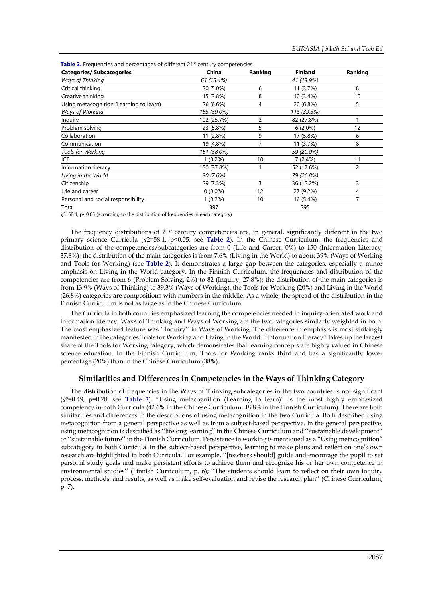| <b>Categories/ Subcategories</b>        | China       | Ranking | <b>Finland</b> | Ranking |
|-----------------------------------------|-------------|---------|----------------|---------|
| Ways of Thinking                        | 61 (15.4%)  |         | 41 (13.9%)     |         |
| Critical thinking                       | 20 (5.0%)   | 6       | 11 (3.7%)      | 8       |
| Creative thinking                       | 15 (3.8%)   | 8       | 10 (3.4%)      | 10      |
| Using metacognition (Learning to learn) | 26 (6.6%)   | 4       | 20 (6.8%)      | 5       |
| Ways of Working                         | 155 (39.0%) |         | 116 (39.3%)    |         |
| Inquiry                                 | 102 (25.7%) | 2       | 82 (27.8%)     |         |
| Problem solving                         | 23 (5.8%)   | 5       | $6(2.0\%)$     | 12      |
| Collaboration                           | 11 (2.8%)   | 9       | 17 (5.8%)      | 6       |
| Communication                           | 19 (4.8%)   | 7       | 11 (3.7%)      | 8       |
| <b>Tools for Working</b>                | 151 (38.0%) |         | 59 (20.0%)     |         |
| ICT                                     | $1(0.2\%)$  | 10      | 7 (2.4%)       | 11      |
| Information literacy                    | 150 (37.8%) |         | 52 (17.6%)     | 2       |
| Living in the World                     | 30 (7.6%)   |         | 79 (26.8%)     |         |
| Citizenship                             | 29 (7.3%)   | 3       | 36 (12.2%)     | 3       |
| Life and career                         | $0(0.0\%)$  | 12      | 27 (9.2%)      | 4       |
| Personal and social responsibility      | $1(0.2\%)$  | 10      | 16 (5.4%)      |         |
| Total                                   | 397         |         | 295            |         |

**Table 2.** Frequencies and percentages of different 21st century competencies

 $\chi^2$ =58.1, p<0.05 (according to the distribution of frequencies in each category)

The frequency distributions of 21st century competencies are, in general, significantly different in the two primary science Curricula (χ2=58.1, p<0.05; see **Table 2**). In the Chinese Curriculum, the frequencies and distribution of the competencies/subcategories are from 0 (Life and Career, 0%) to 150 (Information Literacy, 37.8%); the distribution of the main categories is from 7.6% (Living in the World) to about 39% (Ways of Working and Tools for Working) (see **Table 2**). It demonstrates a large gap between the categories, especially a minor emphasis on Living in the World category. In the Finnish Curriculum, the frequencies and distribution of the competencies are from 6 (Problem Solving, 2%) to 82 (Inquiry, 27.8%); the distribution of the main categories is from 13.9% (Ways of Thinking) to 39.3% (Ways of Working), the Tools for Working (20%) and Living in the World (26.8%) categories are compositions with numbers in the middle. As a whole, the spread of the distribution in the Finnish Curriculum is not as large as in the Chinese Curriculum.

The Curricula in both countries emphasized learning the competencies needed in inquiry-orientated work and information literacy. Ways of Thinking and Ways of Working are the two categories similarly weighted in both. The most emphasized feature was ''Inquiry'' in Ways of Working. The difference in emphasis is most strikingly manifested in the categories Tools for Working and Living in the World. ''Information literacy'' takes up the largest share of the Tools for Working category, which demonstrates that learning concepts are highly valued in Chinese science education. In the Finnish Curriculum, Tools for Working ranks third and has a significantly lower percentage (20%) than in the Chinese Curriculum (38%).

#### **Similarities and Differences in Competencies in the Ways of Thinking Category**

The distribution of frequencies in the Ways of Thinking subcategories in the two countries is not significant (χ2=0.49, p=0.78; see **Table 3**). "Using metacognition (Learning to learn)" is the most highly emphasized competency in both Curricula (42.6% in the Chinese Curriculum, 48.8% in the Finnish Curriculum). There are both similarities and differences in the descriptions of using metacognition in the two Curricula. Both described using metacognition from a general perspective as well as from a subject-based perspective. In the general perspective, using metacognition is described as ''lifelong learning'' in the Chinese Curriculum and ''sustainable development'' or ''sustainable future'' in the Finnish Curriculum. Persistence in working is mentioned as a "Using metacognition" subcategory in both Curricula. In the subject-based perspective, learning to make plans and reflect on one's own research are highlighted in both Curricula. For example, ''[teachers should] guide and encourage the pupil to set personal study goals and make persistent efforts to achieve them and recognize his or her own competence in environmental studies'' (Finnish Curriculum, p. 6); ''The students should learn to reflect on their own inquiry process, methods, and results, as well as make self-evaluation and revise the research plan'' (Chinese Curriculum, p. 7).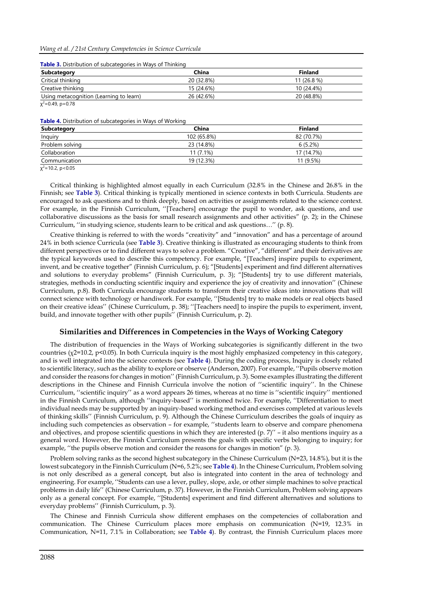| <b>Table 5.</b> Distribution of subcategories in Ways of Thinking |            |                |  |
|-------------------------------------------------------------------|------------|----------------|--|
| Subcategory                                                       | China      | <b>Finland</b> |  |
| Critical thinking                                                 | 20 (32.8%) | $11(26.8\%)$   |  |
| Creative thinking                                                 | 15 (24.6%) | 10 (24.4%)     |  |
| Using metacognition (Learning to learn)                           | 26 (42.6%) | 20 (48.8%)     |  |

**Table 3.** Distribution of subcategories in Ways of Thinking

 $\chi^2$ =0.49, p=0.78

**Table 4.** Distribution of subcategories in Ways of Working

| Subcategory     | China       | <b>Finland</b> |
|-----------------|-------------|----------------|
| Inquiry         | 102 (65.8%) | 82 (70.7%)     |
| Problem solving | 23 (14.8%)  | 6(5.2%)        |
| Collaboration   | $11(7.1\%)$ | 17 (14.7%)     |
| Communication   | 19 (12.3%)  | 11 (9.5%)      |

χ<sup>2</sup>=10.2, p<0.05

Critical thinking is highlighted almost equally in each Curriculum (32.8% in the Chinese and 26.8% in the Finnish; see **Table 3**). Critical thinking is typically mentioned in science contexts in both Curricula. Students are encouraged to ask questions and to think deeply, based on activities or assignments related to the science context. For example, in the Finnish Curriculum, ''[Teachers] encourage the pupil to wonder, ask questions, and use collaborative discussions as the basis for small research assignments and other activities" (p. 2); in the Chinese Curriculum, ''in studying science, students learn to be critical and ask questions…'' (p. 8).

Creative thinking is referred to with the words "creativity" and "innovation" and has a percentage of around 24% in both science Curricula (see **Table 3**). Creative thinking is illustrated as encouraging students to think from different perspectives or to find different ways to solve a problem. "Creative", "different" and their derivatives are the typical keywords used to describe this competency. For example, "[Teachers] inspire pupils to experiment, invent, and be creative together" (Finnish Curriculum, p. 6); "[Students] experiment and find different alternatives and solutions to everyday problems" (Finnish Curriculum, p. 3); "[Students] try to use different materials, strategies, methods in conducting scientific inquiry and experience the joy of creativity and innovation'' (Chinese Curriculum, p.8). Both Curricula encourage students to transform their creative ideas into innovations that will connect science with technology or handiwork. For example, ''[Students] try to make models or real objects based on their creative ideas'' (Chinese Curriculum, p. 38); ''[Teachers need] to inspire the pupils to experiment, invent, build, and innovate together with other pupils'' (Finnish Curriculum, p. 2).

#### **Similarities and Differences in Competencies in the Ways of Working Category**

The distribution of frequencies in the Ways of Working subcategories is significantly different in the two countries (χ2=10.2, p<0.05). In both Curricula inquiry is the most highly emphasized competency in this category, and is well integrated into the science contexts (see **Table 4**). During the coding process, Inquiry is closely related to scientific literacy, such as the ability to explore or observe (Anderson, 2007). For example, ''Pupils observe motion and consider the reasons for changes in motion'' (Finnish Curriculum, p. 3). Some examples illustrating the different descriptions in the Chinese and Finnish Curricula involve the notion of ''scientific inquiry''. In the Chinese Curriculum, ''scientific inquiry'' as a word appears 26 times, whereas at no time is ''scientific inquiry'' mentioned in the Finnish Curriculum, although ''inquiry-based'' is mentioned twice. For example, ''Differentiation to meet individual needs may be supported by an inquiry-based working method and exercises completed at various levels of thinking skills'' (Finnish Curriculum, p. 9). Although the Chinese Curriculum describes the goals of inquiry as including such competencies as observation – for example, ''students learn to observe and compare phenomena and objectives, and propose scientific questions in which they are interested  $(p. 7)$ " – it also mentions inquiry as a general word. However, the Finnish Curriculum presents the goals with specific verbs belonging to inquiry; for example, ''the pupils observe motion and consider the reasons for changes in motion" (p. 3).

Problem solving ranks as the second highest subcategory in the Chinese Curriculum (N=23, 14.8%), but it is the lowest subcategory in the Finnish Curriculum (N=6, 5.2%; see **Table 4**). In the Chinese Curriculum, Problem solving is not only described as a general concept, but also is integrated into content in the area of technology and engineering. For example, ''Students can use a lever, pulley, slope, axle, or other simple machines to solve practical problems in daily life'' (Chinese Curriculum, p. 37). However, in the Finnish Curriculum, Problem solving appears only as a general concept. For example, ''[Students] experiment and find different alternatives and solutions to everyday problems'' (Finnish Curriculum, p. 3).

The Chinese and Finnish Curricula show different emphases on the competencies of collaboration and communication. The Chinese Curriculum places more emphasis on communication (N=19, 12.3% in Communication, N=11, 7.1% in Collaboration; see **Table 4**). By contrast, the Finnish Curriculum places more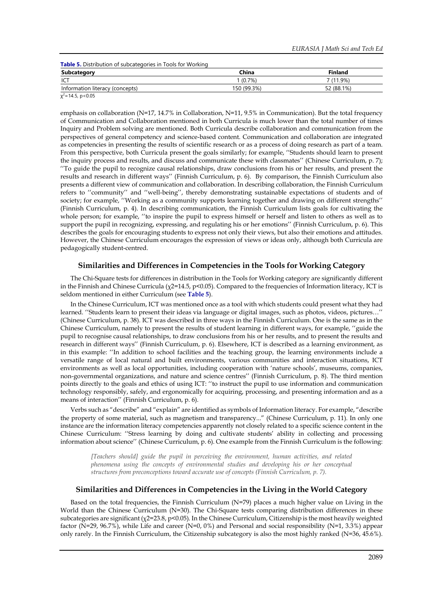| <b>Subcategory</b>              | China       | <b>Finland</b> |
|---------------------------------|-------------|----------------|
| ICT                             | 1(0.7%)     | 7 (11.9%)      |
| Information literacy (concepts) | 150 (99.3%) | 52 (88.1%)     |

emphasis on collaboration (N=17, 14.7% in Collaboration, N=11, 9.5% in Communication). But the total frequency of Communication and Collaboration mentioned in both Curricula is much lower than the total number of times Inquiry and Problem solving are mentioned. Both Curricula describe collaboration and communication from the perspectives of general competency and science-based content. Communication and collaboration are integrated as competencies in presenting the results of scientific research or as a process of doing research as part of a team. From this perspective, both Curricula present the goals similarly; for example, ''Students should learn to present the inquiry process and results, and discuss and communicate these with classmates'' (Chinese Curriculum, p. 7); ''To guide the pupil to recognize causal relationships, draw conclusions from his or her results, and present the results and research in different ways'' (Finnish Curriculum, p. 6). By comparison, the Finnish Curriculum also presents a different view of communication and collaboration. In describing collaboration, the Finnish Curriculum refers to ''community'' and ''well-being'', thereby demonstrating sustainable expectations of students and of society; for example, ''Working as a community supports learning together and drawing on different strengths'' (Finnish Curriculum, p. 4). In describing communication, the Finnish Curriculum lists goals for cultivating the whole person; for example, ''to inspire the pupil to express himself or herself and listen to others as well as to support the pupil in recognizing, expressing, and regulating his or her emotions'' (Finnish Curriculum, p. 6). This describes the goals for encouraging students to express not only their views, but also their emotions and attitudes. However, the Chinese Curriculum encourages the expression of views or ideas only, although both Curricula are pedagogically student-centred.

#### **Similarities and Differences in Competencies in the Tools for Working Category**

The Chi-Square tests for differences in distribution in the Tools for Working category are significantly different in the Finnish and Chinese Curricula (χ2=14.5, p<0.05). Compared to the frequencies of Information literacy, ICT is seldom mentioned in either Curriculum (see **Table 5**).

In the Chinese Curriculum, ICT was mentioned once as a tool with which students could present what they had learned. ''Students learn to present their ideas via language or digital images, such as photos, videos, pictures…'' (Chinese Curriculum, p. 38). ICT was described in three ways in the Finnish Curriculum. One is the same as in the Chinese Curriculum, namely to present the results of student learning in different ways, for example, ''guide the pupil to recognise causal relationships, to draw conclusions from his or her results, and to present the results and research in different ways'' (Finnish Curriculum, p. 6). Elsewhere, ICT is described as a learning environment, as in this example: ''In addition to school facilities and the teaching group, the learning environments include a versatile range of local natural and built environments, various communities and interaction situations, ICT environments as well as local opportunities, including cooperation with 'nature schools', museums, companies, non-governmental organizations, and nature and science centres'' (Finnish Curriculum, p. 8). The third mention points directly to the goals and ethics of using ICT: ''to instruct the pupil to use information and communication technology responsibly, safely, and ergonomically for acquiring, processing, and presenting information and as a means of interaction'' (Finnish Curriculum, p. 6).

Verbs such as "describe" and "explain" are identified as symbols of Information literacy. For example, "describe the property of some material, such as magnetism and transparency..." (Chinese Curriculum, p. 11). In only one instance are the information literacy competencies apparently not closely related to a specific science content in the Chinese Curriculum: ''Stress learning by doing and cultivate students' ability in collecting and processing information about science'' (Chinese Curriculum, p. 6). One example from the Finnish Curriculum is the following:

*[Teachers should] guide the pupil in perceiving the environment, human activities, and related phenomena using the concepts of environmental studies and developing his or her conceptual structures from preconceptions toward accurate use of concepts (Finnish Curriculum, p. 7).*

#### **Similarities and Differences in Competencies in the Living in the World Category**

Based on the total frequencies, the Finnish Curriculum (N=79) places a much higher value on Living in the World than the Chinese Curriculum (N=30). The Chi-Square tests comparing distribution differences in these subcategories are significant (χ2=23.8, p<0.05). In the Chinese Curriculum, Citizenship is the most heavily weighted factor (N=29, 96.7%), while Life and career (N=0, 0%) and Personal and social responsibility (N=1, 3.3%) appear only rarely. In the Finnish Curriculum, the Citizenship subcategory is also the most highly ranked (N=36, 45.6%).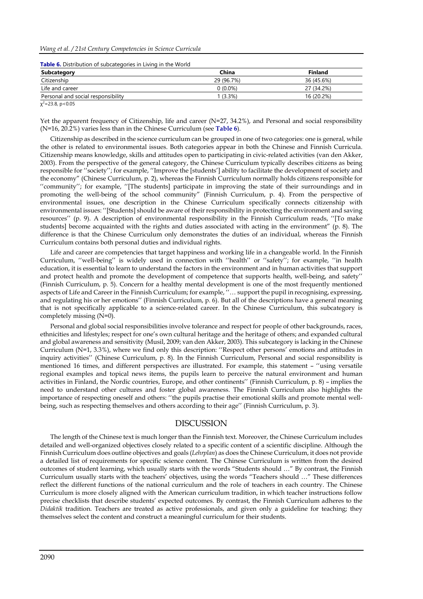#### *Wang et al. / 21st Century Competencies in Science Curricula*

| <b>Table 6.</b> Distribution of subcategories in Living in the world |            |                |  |
|----------------------------------------------------------------------|------------|----------------|--|
| Subcategory                                                          | China      | <b>Finland</b> |  |
| Citizenship                                                          | 29 (96.7%) | 36 (45.6%)     |  |
| Life and career                                                      | $0(0.0\%)$ | 27 (34.2%)     |  |
| Personal and social responsibility                                   | 1 (3.3%)   | 16 (20.2%)     |  |
|                                                                      |            |                |  |

**Table 6.** Distribution of subcategories in Living in the World

 $\chi^2$ =23.8, p<0.05

Yet the apparent frequency of Citizenship, life and career (N=27, 34.2%), and Personal and social responsibility (N=16, 20.2%) varies less than in the Chinese Curriculum (see **Table 6**).

Citizenship as described in the science curriculum can be grouped in one of two categories: one is general, while the other is related to environmental issues. Both categories appear in both the Chinese and Finnish Curricula. Citizenship means knowledge, skills and attitudes open to participating in civic-related activities (van den Akker, 2003). From the perspective of the general category, the Chinese Curriculum typically describes citizens as being responsible for ''society''; for example, ''Improve the [students'] ability to facilitate the development of society and the economy" (Chinese Curriculum, p. 2), whereas the Finnish Curriculum normally holds citizens responsible for ''community''; for example, ''[The students] participate in improving the state of their surroundings and in promoting the well-being of the school community" (Finnish Curriculum, p. 4). From the perspective of environmental issues, one description in the Chinese Curriculum specifically connects citizenship with environmental issues: ''[Students] should be aware of their responsibility in protecting the environment and saving resources'' (p. 9). A description of environmental responsibility in the Finnish Curriculum reads, ''[To make students] become acquainted with the rights and duties associated with acting in the environment" (p. 8). The difference is that the Chinese Curriculum only demonstrates the duties of an individual, whereas the Finnish Curriculum contains both personal duties and individual rights.

Life and career are competencies that target happiness and working life in a changeable world. In the Finnish Curriculum, ''well-being'' is widely used in connection with ''health'' or ''safety''; for example, ''in health education, it is essential to learn to understand the factors in the environment and in human activities that support and protect health and promote the development of competence that supports health, well-being, and safety'' (Finnish Curriculum, p. 5). Concern for a healthy mental development is one of the most frequently mentioned aspects of Life and Career in the Finnish Curriculum; for example, ''… support the pupil in recognising, expressing, and regulating his or her emotions'' (Finnish Curriculum, p. 6). But all of the descriptions have a general meaning that is not specifically applicable to a science-related career. In the Chinese Curriculum, this subcategory is completely missing (N=0).

Personal and global social responsibilities involve tolerance and respect for people of other backgrounds, races, ethnicities and lifestyles; respect for one's own cultural heritage and the heritage of others; and expanded cultural and global awareness and sensitivity (Musil, 2009; van den Akker, 2003). This subcategory is lacking in the Chinese Curriculum (N=1, 3.3%), where we find only this description: ''Respect other persons' emotions and attitudes in inquiry activities'' (Chinese Curriculum, p. 8). In the Finnish Curriculum, Personal and social responsibility is mentioned 16 times, and different perspectives are illustrated. For example, this statement – ''using versatile regional examples and topical news items, the pupils learn to perceive the natural environment and human activities in Finland, the Nordic countries, Europe, and other continents'' (Finnish Curriculum, p. 8) – implies the need to understand other cultures and foster global awareness. The Finnish Curriculum also highlights the importance of respecting oneself and others: ''the pupils practise their emotional skills and promote mental wellbeing, such as respecting themselves and others according to their age'' (Finnish Curriculum, p. 3).

### DISCUSSION

The length of the Chinese text is much longer than the Finnish text. Moreover, the Chinese Curriculum includes detailed and well-organized objectives closely related to a specific content of a scientific discipline. Although the Finnish Curriculum does outline objectives and goals (*Lehrplan*) as does the Chinese Curriculum, it does not provide a detailed list of requirements for specific science content. The Chinese Curriculum is written from the desired outcomes of student learning, which usually starts with the words "Students should …" By contrast, the Finnish Curriculum usually starts with the teachers' objectives, using the words "Teachers should …" These differences reflect the different functions of the national curriculum and the role of teachers in each country. The Chinese Curriculum is more closely aligned with the American curriculum tradition, in which teacher instructions follow precise checklists that describe students' expected outcomes. By contrast, the Finnish Curriculum adheres to the *Didaktik* tradition. Teachers are treated as active professionals, and given only a guideline for teaching; they themselves select the content and construct a meaningful curriculum for their students.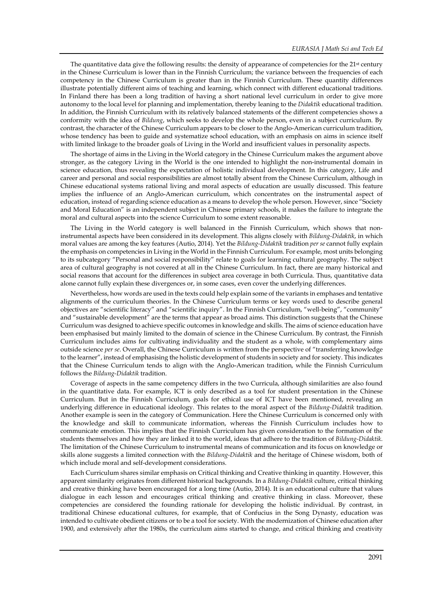The quantitative data give the following results: the density of appearance of competencies for the 21<sup>st</sup> century in the Chinese Curriculum is lower than in the Finnish Curriculum; the variance between the frequencies of each competency in the Chinese Curriculum is greater than in the Finnish Curriculum. These quantity differences illustrate potentially different aims of teaching and learning, which connect with different educational traditions. In Finland there has been a long tradition of having a short national level curriculum in order to give more autonomy to the local level for planning and implementation, thereby leaning to the *Didaktik* educational tradition. In addition, the Finnish Curriculum with its relatively balanced statements of the different competencies shows a conformity with the idea of *Bildung*, which seeks to develop the whole person, even in a subject curriculum. By contrast, the character of the Chinese Curriculum appears to be closer to the Anglo-American curriculum tradition, whose tendency has been to guide and systematize school education, with an emphasis on aims in science itself with limited linkage to the broader goals of Living in the World and insufficient values in personality aspects.

The shortage of aims in the Living in the World category in the Chinese Curriculum makes the argument above stronger, as the category Living in the World is the one intended to highlight the non-instrumental domain in science education, thus revealing the expectation of holistic individual development. In this category, Life and career and personal and social responsibilities are almost totally absent from the Chinese Curriculum, although in Chinese educational systems rational living and moral aspects of education are usually discussed. This feature implies the influence of an Anglo-American curriculum, which concentrates on the instrumental aspect of education, instead of regarding science education as a means to develop the whole person. However, since "Society and Moral Education" is an independent subject in Chinese primary schools, it makes the failure to integrate the moral and cultural aspects into the science Curriculum to some extent reasonable.

The Living in the World category is well balanced in the Finnish Curriculum, which shows that noninstrumental aspects have been considered in its development. This aligns closely with *Bildung-Didaktik*, in which moral values are among the key features (Autio, 2014). Yet the *Bildung-Didaktik* tradition *per se* cannot fully explain the emphasis on competencies in Living in the World in the Finnish Curriculum. For example, most units belonging to its subcategory "Personal and social responsibility" relate to goals for learning cultural geography. The subject area of cultural geography is not covered at all in the Chinese Curriculum. In fact, there are many historical and social reasons that account for the differences in subject area coverage in both Curricula. Thus, quantitative data alone cannot fully explain these divergences or, in some cases, even cover the underlying differences.

Nevertheless, how words are used in the texts could help explain some of the variants in emphases and tentative alignments of the curriculum theories. In the Chinese Curriculum terms or key words used to describe general objectives are "scientific literacy" and "scientific inquiry". In the Finnish Curriculum, "well-being", "community" and "sustainable development" are the terms that appear as broad aims. This distinction suggests that the Chinese Curriculum was designed to achieve specific outcomes in knowledge and skills. The aims of science education have been emphasised but mainly limited to the domain of science in the Chinese Curriculum. By contrast, the Finnish Curriculum includes aims for cultivating individuality and the student as a whole, with complementary aims outside science *per se*. Overall, the Chinese Curriculum is written from the perspective of "transferring knowledge to the learner", instead of emphasising the holistic development of students in society and for society. This indicates that the Chinese Curriculum tends to align with the Anglo-American tradition, while the Finnish Curriculum follows the *Bildung-Didaktik* tradition.

Coverage of aspects in the same competency differs in the two Curricula, although similarities are also found in the quantitative data. For example, ICT is only described as a tool for student presentation in the Chinese Curriculum. But in the Finnish Curriculum, goals for ethical use of ICT have been mentioned, revealing an underlying difference in educational ideology. This relates to the moral aspect of the *Bildung-Didaktik* tradition. Another example is seen in the category of Communication. Here the Chinese Curriculum is concerned only with the knowledge and skill to communicate information, whereas the Finnish Curriculum includes how to communicate emotion. This implies that the Finnish Curriculum has given consideration to the formation of the students themselves and how they are linked it to the world, ideas that adhere to the tradition of *Bildung-Didaktik*. The limitation of the Chinese Curriculum to instrumental means of communication and its focus on knowledge or skills alone suggests a limited connection with the *Bildung-Didaktik* and the heritage of Chinese wisdom, both of which include moral and self-development considerations.

Each Curriculum shares similar emphasis on Critical thinking and Creative thinking in quantity. However, this apparent similarity originates from different historical backgrounds. In a *Bildung-Didaktik* culture, critical thinking and creative thinking have been encouraged for a long time (Autio, 2014). It is an educational culture that values dialogue in each lesson and encourages critical thinking and creative thinking in class. Moreover, these competencies are considered the founding rationale for developing the holistic individual. By contrast, in traditional Chinese educational cultures, for example, that of Confucius in the Song Dynasty, education was intended to cultivate obedient citizens or to be a tool for society. With the modernization of Chinese education after 1900, and extensively after the 1980s, the curriculum aims started to change, and critical thinking and creativity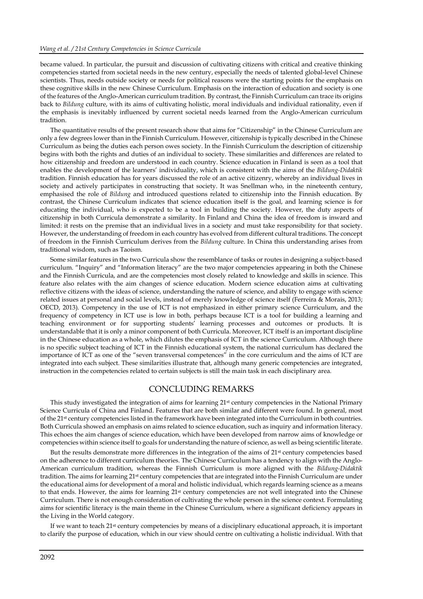became valued. In particular, the pursuit and discussion of cultivating citizens with critical and creative thinking competencies started from societal needs in the new century, especially the needs of talented global-level Chinese scientists. Thus, needs outside society or needs for political reasons were the starting points for the emphasis on these cognitive skills in the new Chinese Curriculum. Emphasis on the interaction of education and society is one of the features of the Anglo-American curriculum tradition. By contrast, the Finnish Curriculum can trace its origins back to *Bildung* culture, with its aims of cultivating holistic, moral individuals and individual rationality, even if the emphasis is inevitably influenced by current societal needs learned from the Anglo-American curriculum tradition.

The quantitative results of the present research show that aims for "Citizenship" in the Chinese Curriculum are only a few degrees lower than in the Finnish Curriculum. However, citizenship is typically described in the Chinese Curriculum as being the duties each person owes society. In the Finnish Curriculum the description of citizenship begins with both the rights and duties of an individual to society. These similarities and differences are related to how citizenship and freedom are understood in each country. Science education in Finland is seen as a tool that enables the development of the learners' individuality, which is consistent with the aims of the *Bildung-Didaktik* tradition. Finnish education has for years discussed the role of an active citizenry, whereby an individual lives in society and actively participates in constructing that society. It was Snellman who, in the nineteenth century, emphasised the role of *Bildung* and introduced questions related to citizenship into the Finnish education. By contrast, the Chinese Curriculum indicates that science education itself is the goal, and learning science is for educating the individual, who is expected to be a tool in building the society. However, the duty aspects of citizenship in both Curricula demonstrate a similarity. In Finland and China the idea of freedom is inward and limited: it rests on the premise that an individual lives in a society and must take responsibility for that society. However, the understanding of freedom in each country has evolved from different cultural traditions. The concept of freedom in the Finnish Curriculum derives from the *Bildung* culture. In China this understanding arises from traditional wisdom, such as Taoism.

Some similar features in the two Curricula show the resemblance of tasks or routes in designing a subject-based curriculum. "Inquiry" and "Information literacy" are the two major competencies appearing in both the Chinese and the Finnish Curricula, and are the competencies most closely related to knowledge and skills in science. This feature also relates with the aim changes of science education. Modern science education aims at cultivating reflective citizens with the ideas of science, understanding the nature of science, and ability to engage with science related issues at personal and social levels, instead of merely knowledge of science itself (Ferreira & Morais, 2013; OECD, 2013). Competency in the use of ICT is not emphasized in either primary science Curriculum, and the frequency of competency in ICT use is low in both, perhaps because ICT is a tool for building a learning and teaching environment or for supporting students' learning processes and outcomes or products. It is understandable that it is only a minor component of both Curricula. Moreover, ICT itself is an important discipline in the Chinese education as a whole, which dilutes the emphasis of ICT in the science Curriculum. Although there is no specific subject teaching of ICT in the Finnish educational system, the national curriculum has declared the importance of ICT as one of the "seven transversal competences" in the core curriculum and the aims of ICT are integrated into each subject. These similarities illustrate that, although many generic competencies are integrated, instruction in the competencies related to certain subjects is still the main task in each disciplinary area.

### CONCLUDING REMARKS

This study investigated the integration of aims for learning  $21st$  century competencies in the National Primary Science Curricula of China and Finland. Features that are both similar and different were found. In general, most of the 21st century competencies listed in the framework have been integrated into the Curriculum in both countries. Both Curricula showed an emphasis on aims related to science education, such as inquiry and information literacy. This echoes the aim changes of science education, which have been developed from narrow aims of knowledge or competencies within science itself to goals for understanding the nature of science, as well as being scientific literate.

But the results demonstrate more differences in the integration of the aims of 21<sup>st</sup> century competencies based on the adherence to different curriculum theories. The Chinese Curriculum has a tendency to align with the Anglo-American curriculum tradition, whereas the Finnish Curriculum is more aligned with the *Bildung-Didaktik* tradition. The aims for learning 21st century competencies that are integrated into the Finnish Curriculum are under the educational aims for development of a moral and holistic individual, which regards learning science as a means to that ends. However, the aims for learning 21<sup>st</sup> century competencies are not well integrated into the Chinese Curriculum. There is not enough consideration of cultivating the whole person in the science context. Formulating aims for scientific literacy is the main theme in the Chinese Curriculum, where a significant deficiency appears in the Living in the World category.

If we want to teach 21st century competencies by means of a disciplinary educational approach, it is important to clarify the purpose of education, which in our view should centre on cultivating a holistic individual. With that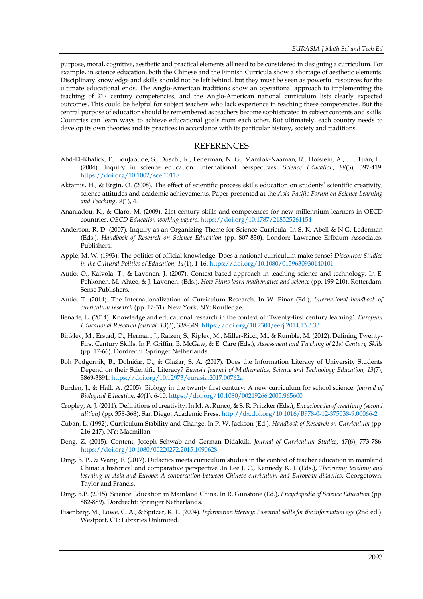purpose, moral, cognitive, aesthetic and practical elements all need to be considered in designing a curriculum. For example, in science education, both the Chinese and the Finnish Curricula show a shortage of aesthetic elements. Disciplinary knowledge and skills should not be left behind, but they must be seen as powerful resources for the ultimate educational ends. The Anglo-American traditions show an operational approach to implementing the teaching of 21st century competencies, and the Anglo-American national curriculum lists clearly expected outcomes. This could be helpful for subject teachers who lack experience in teaching these competencies. But the central purpose of education should be remembered as teachers become sophisticated in subject contents and skills. Countries can learn ways to achieve educational goals from each other. But ultimately, each country needs to develop its own theories and its practices in accordance with its particular history, society and traditions.

### **REFERENCES**

- Abd-El-Khalick, F., BouJaoude, S., Duschl, R., Lederman, N. G., Mamlok-Naaman, R., Hofstein, A., . . . Tuan, H. (2004). Inquiry in science education: International perspectives. *Science Education, 88*(3), 397-419. <https://doi.org/10.1002/sce.10118>
- Aktamis, H., & Ergin, O. (2008). The effect of scientific process skills education on students' scientific creativity, science attitudes and academic achievements*.* Paper presented at the *Asia-Pacific Forum on Science Learning and Teaching*, *9*(1), 4.
- Ananiadou, K., & Claro, M. (2009). 21st century skills and competences for new millennium learners in OECD countries*. OECD Education working papers*.<https://doi.org/10.1787/218525261154>
- Anderson, R. D. (2007). Inquiry as an Organizing Theme for Science Curricula. In S. K. Abell & N.G. Lederman (Eds.), *Handbook of Research on Science Education* (pp. 807-830). London: Lawrence Erlbaum Associates, Publishers.
- Apple, M. W. (1993). The politics of official knowledge: Does a national curriculum make sense? *Discourse: Studies in the Cultural Politics of Education, 14*(1), 1-16.<https://doi.org/10.1080/0159630930140101>
- Autio, O., Kaivola, T., & Lavonen, J. (2007). Context-based approach in teaching science and technology. In E. Pehkonen, M. Ahtee, & J. Lavonen, (Eds.), *How Finns learn mathematics and science* (pp. 199-210). Rotterdam: Sense Publishers.
- Autio, T. (2014). The Internationalization of Curriculum Research. In W. Pinar (Ed.), *International handbook of curriculum research* (pp. 17-31). New York, NY: Routledge.
- Benade, L. (2014). Knowledge and educational research in the context of 'Twenty-first century learning'. *European Educational Research Journal, 13*(3), 338-349[. https://doi.org/10.2304/eerj.2014.13.3.33](https://doi.org/10.2304/eerj.2014.13.3.33)
- Binkley, M., Erstad, O., Herman, J., Raizen, S., Ripley, M., Miller-Ricci, M., & Rumble, M. (2012). Defining Twenty-First Century Skills. In P. Griffin, B. McGaw, & E. Care (Eds.), *Assessment and Teaching of 21st Century Skills* (pp. 17-66). Dordrecht: Springer Netherlands.
- Boh Podgornik, B., Dolničar, D., & Glažar, S. A. (2017). Does the Information Literacy of University Students Depend on their Scientific Literacy? *Eurasia Journal of Mathematics, Science and Technology Education, 13*(7), 3869-3891.<https://doi.org/10.12973/eurasia.2017.00762a>
- Burden, J., & Hall, A. (2005). Biology in the twenty first century: A new curriculum for school science. *Journal of Biological Education, 40*(1), 6-10.<https://doi.org/10.1080/00219266.2005.965600>
- Cropley, A. J. (2011). Definitions of creativity. In M. A. Runco, & S. R. Pritzker (Eds.), *Encyclopedia of creativity (second edition)* (pp. 358-368). San Diego: Academic Press.<http://dx.doi.org/10.1016/B978-0-12-375038-9.00066-2>
- Cuban, L. (1992). Curriculum Stability and Change. In P. W. Jackson (Ed.), *Handbook of Research on Curriculum* (pp. 216-247). NY: Macmillan.
- Deng, Z. (2015). Content, Joseph Schwab and German Didaktik. *Journal of Curriculum Studies, 47*(6), 773-786. <https://doi.org/10.1080/00220272.2015.1090628>
- Ding, B. P., & Wang, F. (2017). Didactics meets curriculum studies in the context of teacher education in mainland China: a historical and comparative perspective .In Lee J. C., Kennedy K. J. (Eds.), *Theorizing teaching and learning in Asia and Europe: A conversation between Chinese curriculum and European didactics*. Georgetown: Taylor and Francis.
- Ding, B.P. (2015). Science Education in Mainland China. In R. Gunstone (Ed.), *Encyclopedia of Science Education* (pp. 882-889). Dordrecht: Springer Netherlands.
- Eisenberg, M., Lowe, C. A., & Spitzer, K. L. (2004). *Information literacy: Essential skills for the information age* (2nd ed.). Westport, CT: Libraries Unlimited.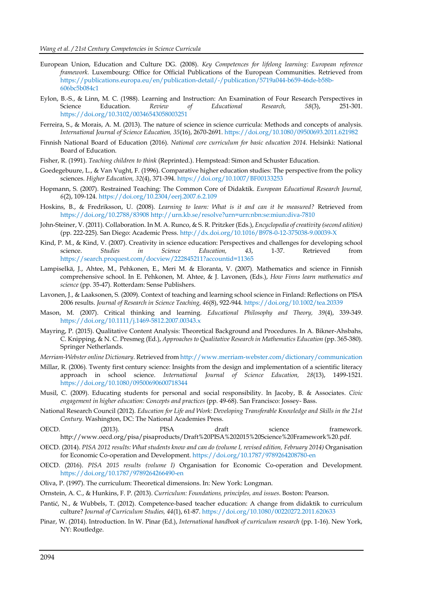- European Union, Education and Culture DG. (2008). *Key Competences for lifelong learning: European reference framework.* Luxembourg: Office for Official Publications of the European Communities. Retrieved from [https://publications.europa.eu/en/publication-detail/-/publication/5719a044-b659-46de-b58b-](https://publications.europa.eu/en/publication-detail/-/publication/5719a044-b659-46de-b58b-606bc5b084c1)[606bc5b084c1](https://publications.europa.eu/en/publication-detail/-/publication/5719a044-b659-46de-b58b-606bc5b084c1)
- Eylon, B.-S., & Linn, M. C. (1988). Learning and Instruction: An Examination of Four Research Perspectives in Science Education. *Review of Educational Research, 58*(3), 251-301. <https://doi.org/10.3102/00346543058003251>
- Ferreira, S., & Morais, A. M. (2013). The nature of science in science curricula: Methods and concepts of analysis. *International Journal of Science Education, 35*(16), 2670-2691.<https://doi.org/10.1080/09500693.2011.621982>
- Finnish National Board of Education (2016). *National core curriculum for basic education 2014*. Helsinki: National Board of Education.
- Fisher, R. (1991). *Teaching children to think* (Reprinted.). Hempstead: Simon and Schuster Education.
- Goedegebuure, L., & Van Vught, F. (1996). Comparative higher education studies: The perspective from the policy sciences. *Higher Education, 32*(4), 371-394[. https://doi.org/10.1007/BF00133253](https://doi.org/10.1007/BF00133253)
- Hopmann, S. (2007). Restrained Teaching: The Common Core of Didaktik. *European Educational Research Journal, 6*(2), 109-124.<https://doi.org/10.2304/eerj.2007.6.2.109>
- Hoskins, B., & Fredriksson, U. (2008). *Learning to learn: What is it and can it be measured?* Retrieved from <https://doi.org/10.2788/83908> <http://urn.kb.se/resolve?urn=urn:nbn:se:miun:diva-7810>
- John-Steiner, V. (2011). Collaboration. In M. A. Runco, & S. R. Pritzker (Eds.), *Encyclopedia of creativity (second edition)* (pp. 222-225). San Diego: Academic Press[. http://dx.doi.org/10.1016/B978-0-12-375038-9.00039-X](http://dx.doi.org/10.1016/B978-0-12-375038-9.00039-X)
- Kind, P. M., & Kind, V. (2007). Creativity in science education: Perspectives and challenges for developing school science. *Studies in Science Education, 43*, 1-37. Retrieved from <https://search.proquest.com/docview/222845211?accountid=11365>
- Lampiselkä, J., Ahtee, M., Pehkonen, E., Meri M. & Eloranta, V. (2007). Mathematics and science in Finnish comprehensive school. In E. Pehkonen, M. Ahtee, & J. Lavonen, (Eds.), *How Finns learn mathematics and science* (pp. 35-47). Rotterdam: Sense Publishers.
- Lavonen, J., & Laaksonen, S. (2009). Context of teaching and learning school science in Finland: Reflections on PISA 2006 results. *Journal of Research in Science Teaching, 46*(8), 922-944[. https://doi.org/10.1002/tea.20339](https://doi.org/10.1002/tea.20339)
- Mason, M. (2007). Critical thinking and learning. *Educational Philosophy and Theory, 39*(4), 339-349. <https://doi.org/10.1111/j.1469-5812.2007.00343.x>
- Mayring, P. (2015). Qualitative Content Analysis: Theoretical Background and Procedures. In A. Bikner-Ahsbahs, C. Knipping, & N. C. Presmeg (Ed.), *Approaches to Qualitative Research in Mathematics Education* (pp. 365-380). Springer Netherlands.
- *Merriam-Webster online Dictionary*. Retrieved fro[m http://www.merriam-webster.com/dictionary/communication](http://www.merriam-webster.com/dictionary/communication)
- Millar, R. (2006). Twenty first century science: Insights from the design and implementation of a scientific literacy approach in school science. *International Journal of Science Education, 28*(13), 1499-1521. <https://doi.org/10.1080/09500690600718344>
- Musil, C. (2009). Educating students for personal and social responsibility. In Jacoby, B. & Associates. *Civic engagement in higher education: Concepts and practices* (pp. 49-68). San Francisco: Jossey- Bass.
- National Research Council (2012). *Education for Life and Work: Developing Transferable Knowledge and Skills in the 21st Century*. Washington, DC: The National Academies Press.
- OECD. (2013). PISA draft science framework. http://www.oecd.org/pisa/pisaproducts/Draft%20PISA%202015%20Science%20Framework%20.pdf.
- OECD. (2014). *PISA 2012 results: What students know and can do (volume I, revised edition, February 2014)* Organisation for Economic Co-operation and Development.<https://doi.org/10.1787/9789264208780-en>
- OECD. (2016). *PISA 2015 results (volume I)* Organisation for Economic Co-operation and Development. <https://doi.org/10.1787/9789264266490-en>
- Oliva, P. (1997). The curriculum: Theoretical dimensions. In: New York: Longman.
- Ornstein, A. C., & Hunkins, F. P. (2013). *Curriculum: Foundations, principles, and issues*. Boston: Pearson.
- Pantić, N., & Wubbels, T. (2012). Competence-based teacher education: A change from didaktik to curriculum culture? *Journal of Curriculum Studies, 44*(1), 61-87[. https://doi.org/10.1080/00220272.2011.620633](https://doi.org/10.1080/00220272.2011.620633)
- Pinar, W. (2014). Introduction. In W. Pinar (Ed.), *International handbook of curriculum research* (pp. 1-16). New York, NY: Routledge.